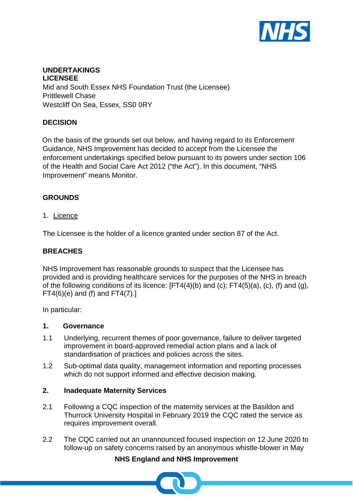

## **UNDERTAKINGS LICENSEE** Mid and South Essex NHS Foundation Trust (the Licensee) Prittlewell Chase Westcliff On Sea, Essex, SS0 0RY

## **DECISION**

On the basis of the grounds set out below, and having regard to its Enforcement Guidance, NHS Improvement has decided to accept from the Licensee the enforcement undertakings specified below pursuant to its powers under section 106 of the Health and Social Care Act 2012 ("the Act"). In this document, "NHS Improvement" means Monitor.

## **GROUNDS**

#### 1. Licence

The Licensee is the holder of a licence granted under section 87 of the Act.

#### **BREACHES**

NHS Improvement has reasonable grounds to suspect that the Licensee has provided and is providing healthcare services for the purposes of the NHS in breach of the following conditions of its licence:  $[FT4(4)(b)$  and  $(c)$ ;  $FT4(5)(a)$ ,  $(c)$ ,  $(f)$  and  $(g)$ ,  $FT4(6)(e)$  and (f) and  $FT4(7).$ ]

In particular:

#### **1. Governance**

- 1.1 Underlying, recurrent themes of poor governance, failure to deliver targeted improvement in board-approved remedial action plans and a lack of standardisation of practices and policies across the sites.
- 1.2 Sub-optimal data quality, management information and reporting processes which do not support informed and effective decision making.

### **2. Inadequate Maternity Services**

- 2.1 Following a CQC inspection of the maternity services at the Basildon and Thurrock University Hospital in February 2019 the CQC rated the service as requires improvement overall.
- 2.2 The CQC carried out an unannounced focused inspection on 12 June 2020 to follow-up on safety concerns raised by an anonymous whistle-blower in May

## **NHS England and NHS Improvement**

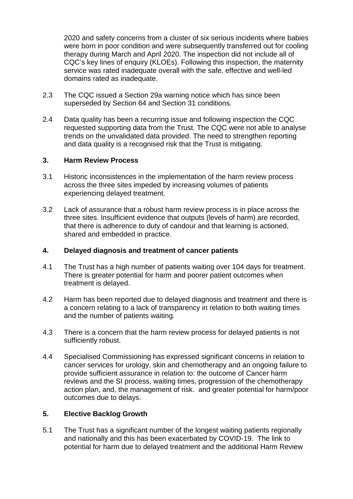2020 and safety concerns from a cluster of six serious incidents where babies were born in poor condition and were subsequently transferred out for cooling therapy during March and April 2020. The inspection did not include all of CQC's key lines of enquiry (KLOEs). Following this inspection, the maternity service was rated inadequate overall with the safe, effective and well-led domains rated as inadequate.

- 2.3 The CQC issued a Section 29a warning notice which has since been superseded by Section 64 and Section 31 conditions.
- 2.4 Data quality has been a recurring issue and following inspection the CQC requested supporting data from the Trust. The CQC were not able to analyse trends on the unvalidated data provided. The need to strengthen reporting and data quality is a recognised risk that the Trust is mitigating.

#### **3. Harm Review Process**

- 3.1 Historic inconsistences in the implementation of the harm review process across the three sites impeded by increasing volumes of patients experiencing delayed treatment.
- 3.2 Lack of assurance that a robust harm review process is in place across the three sites. Insufficient evidence that outputs (levels of harm) are recorded, that there is adherence to duty of candour and that learning is actioned, shared and embedded in practice.

#### **4. Delayed diagnosis and treatment of cancer patients**

- 4.1 The Trust has a high number of patients waiting over 104 days for treatment. There is greater potential for harm and poorer patient outcomes when treatment is delayed.
- 4.2 Harm has been reported due to delayed diagnosis and treatment and there is a concern relating to a lack of transparency in relation to both waiting times and the number of patients waiting.
- 4.3 There is a concern that the harm review process for delayed patients is not sufficiently robust.
- 4.4 Specialised Commissioning has expressed significant concerns in relation to cancer services for urology, skin and chemotherapy and an ongoing failure to provide sufficient assurance in relation to: the outcome of Cancer harm reviews and the SI process, waiting times, progression of the chemotherapy action plan, and, the management of risk. and greater potential for harm/poor outcomes due to delays.

#### **5. Elective Backlog Growth**

5.1 The Trust has a significant number of the longest waiting patients regionally and nationally and this has been exacerbated by COVID-19. The link to potential for harm due to delayed treatment and the additional Harm Review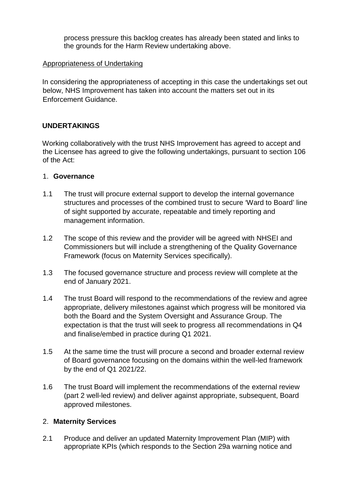process pressure this backlog creates has already been stated and links to the grounds for the Harm Review undertaking above.

#### Appropriateness of Undertaking

In considering the appropriateness of accepting in this case the undertakings set out below, NHS Improvement has taken into account the matters set out in its Enforcement Guidance.

## **UNDERTAKINGS**

Working collaboratively with the trust NHS Improvement has agreed to accept and the Licensee has agreed to give the following undertakings, pursuant to section 106 of the Act:

### 1. **Governance**

- 1.1 The trust will procure external support to develop the internal governance structures and processes of the combined trust to secure 'Ward to Board' line of sight supported by accurate, repeatable and timely reporting and management information.
- 1.2 The scope of this review and the provider will be agreed with NHSEI and Commissioners but will include a strengthening of the Quality Governance Framework (focus on Maternity Services specifically).
- 1.3 The focused governance structure and process review will complete at the end of January 2021.
- 1.4 The trust Board will respond to the recommendations of the review and agree appropriate, delivery milestones against which progress will be monitored via both the Board and the System Oversight and Assurance Group. The expectation is that the trust will seek to progress all recommendations in Q4 and finalise/embed in practice during Q1 2021.
- 1.5 At the same time the trust will procure a second and broader external review of Board governance focusing on the domains within the well-led framework by the end of Q1 2021/22.
- 1.6 The trust Board will implement the recommendations of the external review (part 2 well-led review) and deliver against appropriate, subsequent, Board approved milestones.

#### 2. **Maternity Services**

2.1 Produce and deliver an updated Maternity Improvement Plan (MIP) with appropriate KPIs (which responds to the Section 29a warning notice and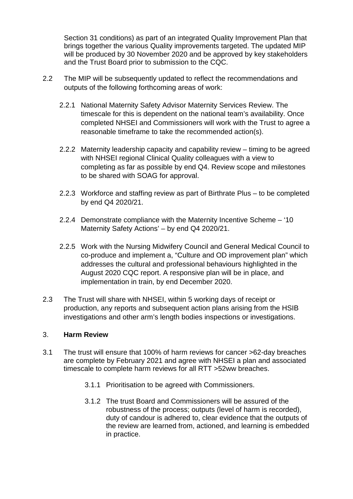Section 31 conditions) as part of an integrated Quality Improvement Plan that brings together the various Quality improvements targeted. The updated MIP will be produced by 30 November 2020 and be approved by key stakeholders and the Trust Board prior to submission to the CQC.

- 2.2 The MIP will be subsequently updated to reflect the recommendations and outputs of the following forthcoming areas of work:
	- 2.2.1 National Maternity Safety Advisor Maternity Services Review. The timescale for this is dependent on the national team's availability. Once completed NHSEI and Commissioners will work with the Trust to agree a reasonable timeframe to take the recommended action(s).
	- 2.2.2 Maternity leadership capacity and capability review timing to be agreed with NHSEI regional Clinical Quality colleagues with a view to completing as far as possible by end Q4. Review scope and milestones to be shared with SOAG for approval.
	- 2.2.3 Workforce and staffing review as part of Birthrate Plus to be completed by end Q4 2020/21.
	- 2.2.4 Demonstrate compliance with the Maternity Incentive Scheme '10 Maternity Safety Actions' – by end Q4 2020/21.
	- 2.2.5 Work with the Nursing Midwifery Council and General Medical Council to co-produce and implement a, "Culture and OD improvement plan" which addresses the cultural and professional behaviours highlighted in the August 2020 CQC report. A responsive plan will be in place, and implementation in train, by end December 2020.
- 2.3 The Trust will share with NHSEI, within 5 working days of receipt or production, any reports and subsequent action plans arising from the HSIB investigations and other arm's length bodies inspections or investigations.

#### 3. **Harm Review**

- 3.1 The trust will ensure that 100% of harm reviews for cancer >62-day breaches are complete by February 2021 and agree with NHSEI a plan and associated timescale to complete harm reviews for all RTT >52ww breaches.
	- 3.1.1 Prioritisation to be agreed with Commissioners.
	- 3.1.2 The trust Board and Commissioners will be assured of the robustness of the process; outputs (level of harm is recorded), duty of candour is adhered to, clear evidence that the outputs of the review are learned from, actioned, and learning is embedded in practice.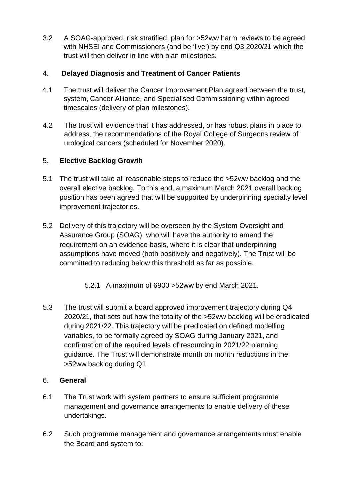3.2 A SOAG-approved, risk stratified, plan for >52ww harm reviews to be agreed with NHSEI and Commissioners (and be 'live') by end Q3 2020/21 which the trust will then deliver in line with plan milestones.

# 4. **Delayed Diagnosis and Treatment of Cancer Patients**

- 4.1 The trust will deliver the Cancer Improvement Plan agreed between the trust, system, Cancer Alliance, and Specialised Commissioning within agreed timescales (delivery of plan milestones).
- 4.2 The trust will evidence that it has addressed, or has robust plans in place to address, the recommendations of the Royal College of Surgeons review of urological cancers (scheduled for November 2020).

# 5. **Elective Backlog Growth**

- 5.1 The trust will take all reasonable steps to reduce the >52ww backlog and the overall elective backlog. To this end, a maximum March 2021 overall backlog position has been agreed that will be supported by underpinning specialty level improvement trajectories.
- 5.2 Delivery of this trajectory will be overseen by the System Oversight and Assurance Group (SOAG), who will have the authority to amend the requirement on an evidence basis, where it is clear that underpinning assumptions have moved (both positively and negatively). The Trust will be committed to reducing below this threshold as far as possible.
	- 5.2.1 A maximum of 6900 >52ww by end March 2021.
- 5.3 The trust will submit a board approved improvement trajectory during Q4 2020/21, that sets out how the totality of the >52ww backlog will be eradicated during 2021/22. This trajectory will be predicated on defined modelling variables, to be formally agreed by SOAG during January 2021, and confirmation of the required levels of resourcing in 2021/22 planning guidance. The Trust will demonstrate month on month reductions in the >52ww backlog during Q1.

## 6. **General**

- 6.1 The Trust work with system partners to ensure sufficient programme management and governance arrangements to enable delivery of these undertakings.
- 6.2 Such programme management and governance arrangements must enable the Board and system to: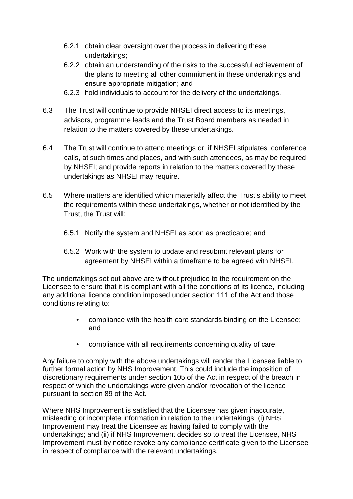- 6.2.1 obtain clear oversight over the process in delivering these undertakings;
- 6.2.2 obtain an understanding of the risks to the successful achievement of the plans to meeting all other commitment in these undertakings and ensure appropriate mitigation; and
- 6.2.3 hold individuals to account for the delivery of the undertakings.
- 6.3 The Trust will continue to provide NHSEI direct access to its meetings, advisors, programme leads and the Trust Board members as needed in relation to the matters covered by these undertakings.
- 6.4 The Trust will continue to attend meetings or, if NHSEI stipulates, conference calls, at such times and places, and with such attendees, as may be required by NHSEI; and provide reports in relation to the matters covered by these undertakings as NHSEI may require.
- 6.5 Where matters are identified which materially affect the Trust's ability to meet the requirements within these undertakings, whether or not identified by the Trust, the Trust will:
	- 6.5.1 Notify the system and NHSEI as soon as practicable; and
	- 6.5.2 Work with the system to update and resubmit relevant plans for agreement by NHSEI within a timeframe to be agreed with NHSEI.

The undertakings set out above are without prejudice to the requirement on the Licensee to ensure that it is compliant with all the conditions of its licence, including any additional licence condition imposed under section 111 of the Act and those conditions relating to:

- compliance with the health care standards binding on the Licensee; and
- compliance with all requirements concerning quality of care.

Any failure to comply with the above undertakings will render the Licensee liable to further formal action by NHS Improvement. This could include the imposition of discretionary requirements under section 105 of the Act in respect of the breach in respect of which the undertakings were given and/or revocation of the licence pursuant to section 89 of the Act.

Where NHS Improvement is satisfied that the Licensee has given inaccurate, misleading or incomplete information in relation to the undertakings: (i) NHS Improvement may treat the Licensee as having failed to comply with the undertakings; and (ii) if NHS Improvement decides so to treat the Licensee, NHS Improvement must by notice revoke any compliance certificate given to the Licensee in respect of compliance with the relevant undertakings.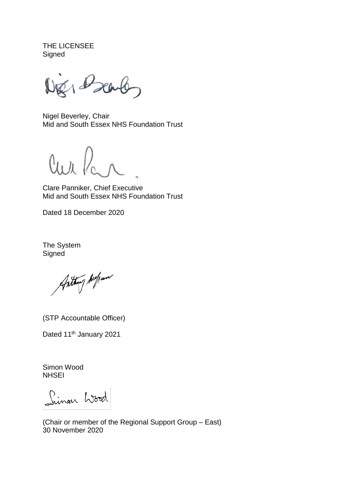THE LICENSEE **Signed** 

1 Dearb

Nigel Beverley, Chair Mid and South Essex NHS Foundation Trust

 $\mathcal{U}_1$ 

Clare Panniker, Chief Executive Mid and South Essex NHS Foundation Trust

Dated 18 December 2020

The System **Signed** 

Anthony Aufrance

(STP Accountable Officer)

Dated 11<sup>th</sup> January 2021

Simon Wood **NHSEI** 

Linon Wood

(Chair or member of the Regional Support Group – East) 30 November 2020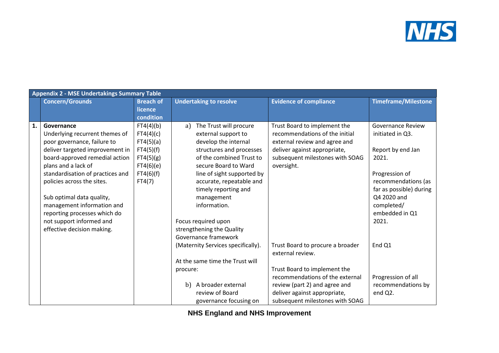

|    | <b>Appendix 2 - MSE Undertakings Summary Table</b> |                  |                                    |                                  |                            |  |
|----|----------------------------------------------------|------------------|------------------------------------|----------------------------------|----------------------------|--|
|    | <b>Concern/Grounds</b>                             | <b>Breach of</b> | <b>Undertaking to resolve</b>      | <b>Evidence of compliance</b>    | <b>Timeframe/Milestone</b> |  |
|    |                                                    | licence          |                                    |                                  |                            |  |
|    |                                                    | condition        |                                    |                                  |                            |  |
| 1. | Governance                                         | FT4(4)(b)        | The Trust will procure<br>a)       | Trust Board to implement the     | <b>Governance Review</b>   |  |
|    | Underlying recurrent themes of                     | FT4(4)(c)        | external support to                | recommendations of the initial   | initiated in Q3.           |  |
|    | poor governance, failure to                        | FT4(5)(a)        | develop the internal               | external review and agree and    |                            |  |
|    | deliver targeted improvement in                    | FT4(5)(f)        | structures and processes           | deliver against appropriate,     | Report by end Jan          |  |
|    | board-approved remedial action                     | FT4(5)(g)        | of the combined Trust to           | subsequent milestones with SOAG  | 2021.                      |  |
|    | plans and a lack of                                | FT4(6)(e)        | secure Board to Ward               | oversight.                       |                            |  |
|    | standardisation of practices and                   | FT4(6)(f)        | line of sight supported by         |                                  | Progression of             |  |
|    | policies across the sites.                         | FT4(7)           | accurate, repeatable and           |                                  | recommendations (as        |  |
|    |                                                    |                  | timely reporting and               |                                  | far as possible) during    |  |
|    | Sub optimal data quality,                          |                  | management                         |                                  | Q4 2020 and                |  |
|    | management information and                         |                  | information.                       |                                  | completed/                 |  |
|    | reporting processes which do                       |                  |                                    |                                  | embedded in Q1             |  |
|    | not support informed and                           |                  | Focus required upon                |                                  | 2021.                      |  |
|    | effective decision making.                         |                  | strengthening the Quality          |                                  |                            |  |
|    |                                                    |                  | Governance framework               |                                  |                            |  |
|    |                                                    |                  | (Maternity Services specifically). | Trust Board to procure a broader | End Q1                     |  |
|    |                                                    |                  |                                    | external review.                 |                            |  |
|    |                                                    |                  | At the same time the Trust will    |                                  |                            |  |
|    |                                                    |                  | procure:                           | Trust Board to implement the     |                            |  |
|    |                                                    |                  |                                    | recommendations of the external  | Progression of all         |  |
|    |                                                    |                  | A broader external<br>b)           | review (part 2) and agree and    | recommendations by         |  |
|    |                                                    |                  | review of Board                    | deliver against appropriate,     | end Q2.                    |  |
|    |                                                    |                  | governance focusing on             | subsequent milestones with SOAG  |                            |  |

**NHS England and NHS Improvement**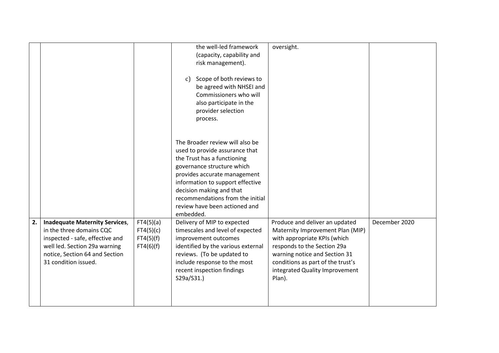|    |                                                                                                                                                                                                 |                                                  | the well-led framework<br>(capacity, capability and<br>risk management).<br>Scope of both reviews to<br>$\mathcal{C}$<br>be agreed with NHSEI and<br>Commissioners who will<br>also participate in the<br>provider selection<br>process.                                                                         | oversight.                                                                                                                                                                                                                                          |               |
|----|-------------------------------------------------------------------------------------------------------------------------------------------------------------------------------------------------|--------------------------------------------------|------------------------------------------------------------------------------------------------------------------------------------------------------------------------------------------------------------------------------------------------------------------------------------------------------------------|-----------------------------------------------------------------------------------------------------------------------------------------------------------------------------------------------------------------------------------------------------|---------------|
|    |                                                                                                                                                                                                 |                                                  | The Broader review will also be<br>used to provide assurance that<br>the Trust has a functioning<br>governance structure which<br>provides accurate management<br>information to support effective<br>decision making and that<br>recommendations from the initial<br>review have been actioned and<br>embedded. |                                                                                                                                                                                                                                                     |               |
| 2. | <b>Inadequate Maternity Services,</b><br>in the three domains CQC<br>inspected - safe, effective and<br>well led. Section 29a warning<br>notice, Section 64 and Section<br>31 condition issued. | FT4(5)(a)<br>FT4(5)(c)<br>FT4(5)(f)<br>FT4(6)(f) | Delivery of MIP to expected<br>timescales and level of expected<br>improvement outcomes<br>identified by the various external<br>reviews. (To be updated to<br>include response to the most<br>recent inspection findings<br>S29a/S31.)                                                                          | Produce and deliver an updated<br>Maternity Improvement Plan (MIP)<br>with appropriate KPIs (which<br>responds to the Section 29a<br>warning notice and Section 31<br>conditions as part of the trust's<br>integrated Quality Improvement<br>Plan). | December 2020 |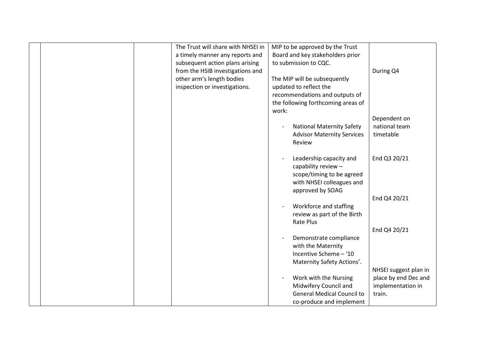|  | The Trust will share with NHSEI in | MIP to be approved by the Trust    |                       |
|--|------------------------------------|------------------------------------|-----------------------|
|  | a timely manner any reports and    | Board and key stakeholders prior   |                       |
|  | subsequent action plans arising    | to submission to CQC.              |                       |
|  | from the HSIB investigations and   |                                    | During Q4             |
|  | other arm's length bodies          | The MIP will be subsequently       |                       |
|  | inspection or investigations.      | updated to reflect the             |                       |
|  |                                    | recommendations and outputs of     |                       |
|  |                                    | the following forthcoming areas of |                       |
|  |                                    | work:                              |                       |
|  |                                    |                                    | Dependent on          |
|  |                                    | <b>National Maternity Safety</b>   | national team         |
|  |                                    | <b>Advisor Maternity Services</b>  | timetable             |
|  |                                    | Review                             |                       |
|  |                                    |                                    |                       |
|  |                                    | Leadership capacity and            | End Q3 20/21          |
|  |                                    | capability review -                |                       |
|  |                                    | scope/timing to be agreed          |                       |
|  |                                    | with NHSEI colleagues and          |                       |
|  |                                    | approved by SOAG                   |                       |
|  |                                    |                                    | End Q4 20/21          |
|  |                                    |                                    |                       |
|  |                                    | Workforce and staffing             |                       |
|  |                                    | review as part of the Birth        |                       |
|  |                                    | Rate Plus                          |                       |
|  |                                    |                                    | End Q4 20/21          |
|  |                                    | Demonstrate compliance             |                       |
|  |                                    | with the Maternity                 |                       |
|  |                                    | Incentive Scheme - '10             |                       |
|  |                                    | Maternity Safety Actions'.         |                       |
|  |                                    |                                    | NHSEI suggest plan in |
|  |                                    | Work with the Nursing              | place by end Dec and  |
|  |                                    | Midwifery Council and              | implementation in     |
|  |                                    | <b>General Medical Council to</b>  | train.                |
|  |                                    | co-produce and implement           |                       |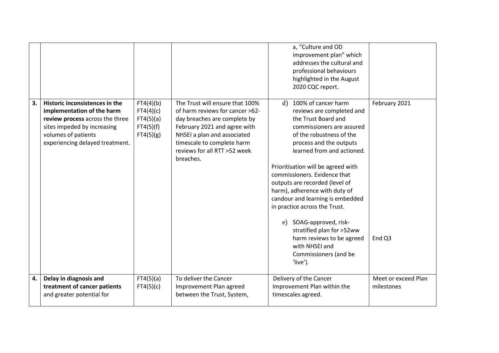|    |                                                                                                                                                                                          |                                                               |                                                                                                                                                                                                                                              | a, "Culture and OD<br>improvement plan" which<br>addresses the cultural and<br>professional behaviours<br>highlighted in the August<br>2020 CQC report.                                                                                                                                                                                                                                                                                                                                                                                                        |                                   |
|----|------------------------------------------------------------------------------------------------------------------------------------------------------------------------------------------|---------------------------------------------------------------|----------------------------------------------------------------------------------------------------------------------------------------------------------------------------------------------------------------------------------------------|----------------------------------------------------------------------------------------------------------------------------------------------------------------------------------------------------------------------------------------------------------------------------------------------------------------------------------------------------------------------------------------------------------------------------------------------------------------------------------------------------------------------------------------------------------------|-----------------------------------|
| 3. | Historic inconsistences in the<br>implementation of the harm<br>review process across the three<br>sites impeded by increasing<br>volumes of patients<br>experiencing delayed treatment. | FT4(4)(b)<br>FT4(4)(c)<br>FT4(5)(a)<br>FT4(5)(f)<br>FT4(5)(g) | The Trust will ensure that 100%<br>of harm reviews for cancer >62-<br>day breaches are complete by<br>February 2021 and agree with<br>NHSEI a plan and associated<br>timescale to complete harm<br>reviews for all RTT >52 week<br>breaches. | 100% of cancer harm<br>d<br>reviews are completed and<br>the Trust Board and<br>commissioners are assured<br>of the robustness of the<br>process and the outputs<br>learned from and actioned.<br>Prioritisation will be agreed with<br>commissioners. Evidence that<br>outputs are recorded (level of<br>harm), adherence with duty of<br>candour and learning is embedded<br>in practice across the Trust.<br>SOAG-approved, risk-<br>$e$ )<br>stratified plan for >52ww<br>harm reviews to be agreed<br>with NHSEI and<br>Commissioners (and be<br>'live'). | February 2021<br>End Q3           |
| 4. | Delay in diagnosis and<br>treatment of cancer patients<br>and greater potential for                                                                                                      | FT4(5)(a)<br>FT4(5)(c)                                        | To deliver the Cancer<br>Improvement Plan agreed<br>between the Trust, System,                                                                                                                                                               | Delivery of the Cancer<br>Improvement Plan within the<br>timescales agreed.                                                                                                                                                                                                                                                                                                                                                                                                                                                                                    | Meet or exceed Plan<br>milestones |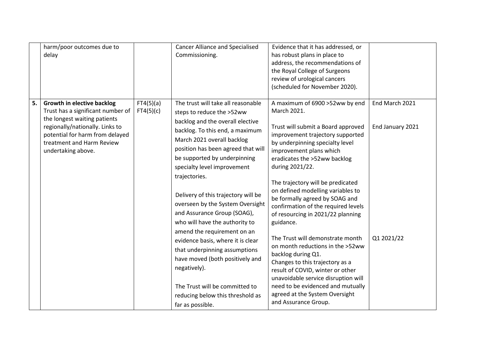|    | harm/poor outcomes due to<br>delay                                                                                                                                                                                              |                        | <b>Cancer Alliance and Specialised</b><br>Commissioning.                                                                                                                                                                                                                                                                                                                                                                                                                                                                                                                                                                                                                                 | Evidence that it has addressed, or<br>has robust plans in place to<br>address, the recommendations of<br>the Royal College of Surgeons<br>review of urological cancers<br>(scheduled for November 2020).                                                                                                                                                                                                                                                                                                                                                                                                                                                                                                                                                 |                                                  |
|----|---------------------------------------------------------------------------------------------------------------------------------------------------------------------------------------------------------------------------------|------------------------|------------------------------------------------------------------------------------------------------------------------------------------------------------------------------------------------------------------------------------------------------------------------------------------------------------------------------------------------------------------------------------------------------------------------------------------------------------------------------------------------------------------------------------------------------------------------------------------------------------------------------------------------------------------------------------------|----------------------------------------------------------------------------------------------------------------------------------------------------------------------------------------------------------------------------------------------------------------------------------------------------------------------------------------------------------------------------------------------------------------------------------------------------------------------------------------------------------------------------------------------------------------------------------------------------------------------------------------------------------------------------------------------------------------------------------------------------------|--------------------------------------------------|
| 5. | <b>Growth in elective backlog</b><br>Trust has a significant number of<br>the longest waiting patients<br>regionally/nationally. Links to<br>potential for harm from delayed<br>treatment and Harm Review<br>undertaking above. | FT4(5)(a)<br>FT4(5)(c) | The trust will take all reasonable<br>steps to reduce the >52ww<br>backlog and the overall elective<br>backlog. To this end, a maximum<br>March 2021 overall backlog<br>position has been agreed that will<br>be supported by underpinning<br>specialty level improvement<br>trajectories.<br>Delivery of this trajectory will be<br>overseen by the System Oversight<br>and Assurance Group (SOAG),<br>who will have the authority to<br>amend the requirement on an<br>evidence basis, where it is clear<br>that underpinning assumptions<br>have moved (both positively and<br>negatively).<br>The Trust will be committed to<br>reducing below this threshold as<br>far as possible. | A maximum of 6900 >52ww by end<br>March 2021.<br>Trust will submit a Board approved<br>improvement trajectory supported<br>by underpinning specialty level<br>improvement plans which<br>eradicates the >52ww backlog<br>during 2021/22.<br>The trajectory will be predicated<br>on defined modelling variables to<br>be formally agreed by SOAG and<br>confirmation of the required levels<br>of resourcing in 2021/22 planning<br>guidance.<br>The Trust will demonstrate month<br>on month reductions in the >52ww<br>backlog during Q1.<br>Changes to this trajectory as a<br>result of COVID, winter or other<br>unavoidable service disruption will<br>need to be evidenced and mutually<br>agreed at the System Oversight<br>and Assurance Group. | End March 2021<br>End January 2021<br>Q1 2021/22 |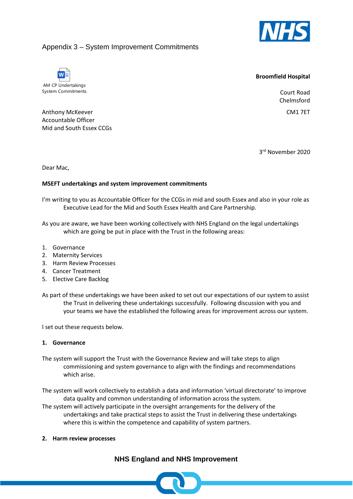

## Appendix 3 – System Improvement Commitments



#### **Broomfield Hospital**

Court Road Chelmsford

CM1 7ET

Anthony McKeever Accountable Officer Mid and South Essex CCGs

3rd November 2020

Dear Mac,

#### **MSEFT undertakings and system improvement commitments**

I'm writing to you as Accountable Officer for the CCGs in mid and south Essex and also in your role as Executive Lead for the Mid and South Essex Health and Care Partnership.

As you are aware, we have been working collectively with NHS England on the legal undertakings which are going be put in place with the Trust in the following areas:

- 1. Governance
- 2. Maternity Services
- 3. Harm Review Processes
- 4. Cancer Treatment
- 5. Elective Care Backlog
- As part of these undertakings we have been asked to set out our expectations of our system to assist the Trust in delivering these undertakings successfully. Following discussion with you and your teams we have the established the following areas for improvement across our system.

I set out these requests below.

#### **1. Governance**

The system will support the Trust with the Governance Review and will take steps to align commissioning and system governance to align with the findings and recommendations which arise.

The system will work collectively to establish a data and information 'virtual directorate' to improve data quality and common understanding of information across the system.

The system will actively participate in the oversight arrangements for the delivery of the undertakings and take practical steps to assist the Trust in delivering these undertakings where this is within the competence and capability of system partners.

**2. Harm review processes**

## **NHS England and NHS Improvement**